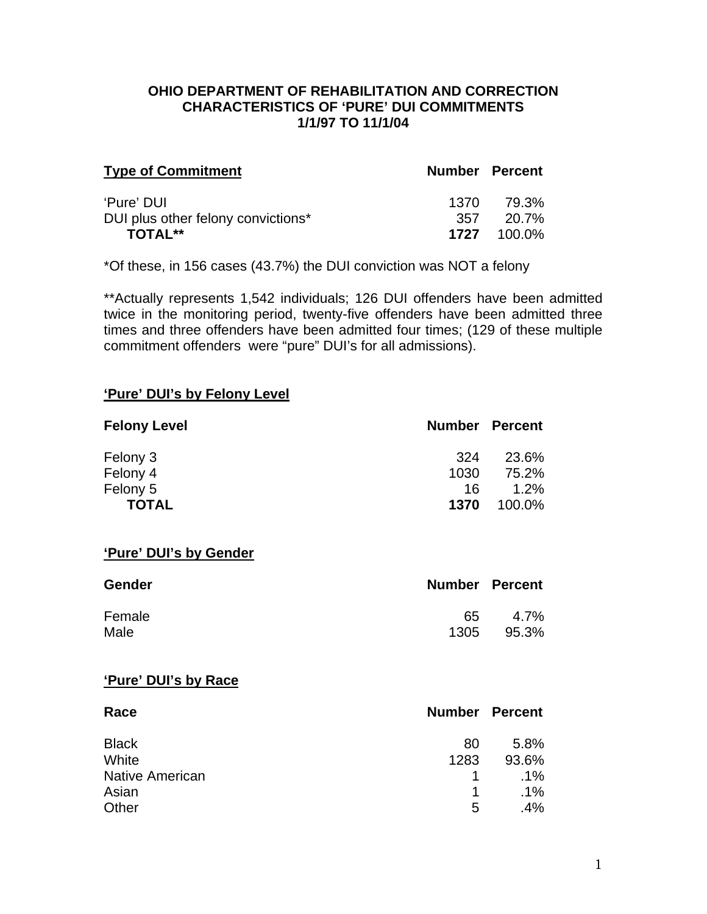#### **OHIO DEPARTMENT OF REHABILITATION AND CORRECTION CHARACTERISTICS OF 'PURE' DUI COMMITMENTS 1/1/97 TO 11/1/04**

| <b>Type of Commitment</b>          | <b>Number Percent</b> |                  |
|------------------------------------|-----------------------|------------------|
| 'Pure' DUI                         | 1370 -                | 79.3%            |
| DUI plus other felony convictions* | 357                   | - 20.7%          |
| <b>TOTAL**</b>                     |                       | $1727$ $100.0\%$ |

\*Of these, in 156 cases (43.7%) the DUI conviction was NOT a felony

\*\*Actually represents 1,542 individuals; 126 DUI offenders have been admitted twice in the monitoring period, twenty-five offenders have been admitted three times and three offenders have been admitted four times; (129 of these multiple commitment offenders were "pure" DUI's for all admissions).

#### **'Pure' DUI's by Felony Level**

| <b>Felony Level</b> | <b>Number Percent</b> |        |
|---------------------|-----------------------|--------|
| Felony 3            | 324                   | 23.6%  |
| Felony 4            | 1030                  | 75.2%  |
| Felony 5            | 16                    | 1.2%   |
| <b>TOTAL</b>        | 1370                  | 100.0% |

#### **'Pure' DUI's by Gender**

| <b>Gender</b> | <b>Number Percent</b> |       |
|---------------|-----------------------|-------|
| Female        | 65.                   | 4.7%  |
| Male          | 1305                  | 95.3% |

#### **'Pure' DUI's by Race**

| Race                   |      | <b>Number Percent</b> |
|------------------------|------|-----------------------|
| <b>Black</b>           | 80   | 5.8%                  |
| White                  | 1283 | 93.6%                 |
| <b>Native American</b> | 1.   | $.1\%$                |
| Asian                  | 1    | $.1\%$                |
| Other                  | 5    | $.4\%$                |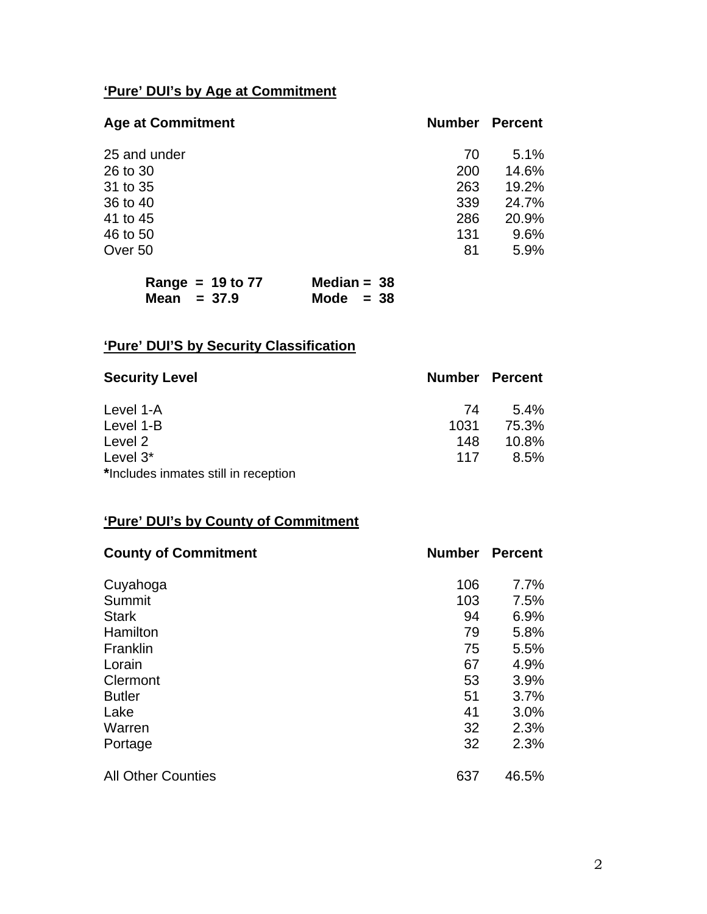# **'Pure' DUI's by Age at Commitment**

| <b>Age at Commitment</b> | <b>Number</b> | <b>Percent</b> |
|--------------------------|---------------|----------------|
| 25 and under             | 70            | 5.1%           |
| 26 to 30                 | 200           | 14.6%          |
| 31 to 35                 | 263           | 19.2%          |
| 36 to 40                 | 339           | 24.7%          |
| 41 to 45                 | 286           | 20.9%          |
| 46 to 50                 | 131           | 9.6%           |
| Over 50                  | 81            | 5.9%           |
|                          |               |                |

| Range = $19$ to $77$ | Median = $38$ |
|----------------------|---------------|
| Mean $= 37.9$        | Mode $= 38$   |

# **'Pure' DUI'S by Security Classification**

| <b>Security Level</b>                |      | <b>Number Percent</b> |
|--------------------------------------|------|-----------------------|
| Level 1-A                            | 74   | $5.4\%$               |
| Level 1-B                            | 1031 | 75.3%                 |
| Level 2                              | 148  | $10.8\%$              |
| Level $3^*$                          | 117  | $8.5\%$               |
| *Includes inmates still in reception |      |                       |

## **'Pure' DUI's by County of Commitment**

| <b>County of Commitment</b> | <b>Number</b> | <b>Percent</b> |
|-----------------------------|---------------|----------------|
| Cuyahoga                    | 106           | 7.7%           |
| Summit                      | 103           | 7.5%           |
| <b>Stark</b>                | 94            | 6.9%           |
| Hamilton                    | 79            | 5.8%           |
| Franklin                    | 75            | 5.5%           |
| Lorain                      | 67            | 4.9%           |
| Clermont                    | 53            | 3.9%           |
| <b>Butler</b>               | 51            | 3.7%           |
| Lake                        | 41            | 3.0%           |
| Warren                      | 32            | 2.3%           |
| Portage                     | 32            | 2.3%           |
| <b>All Other Counties</b>   | 637           | 46.5%          |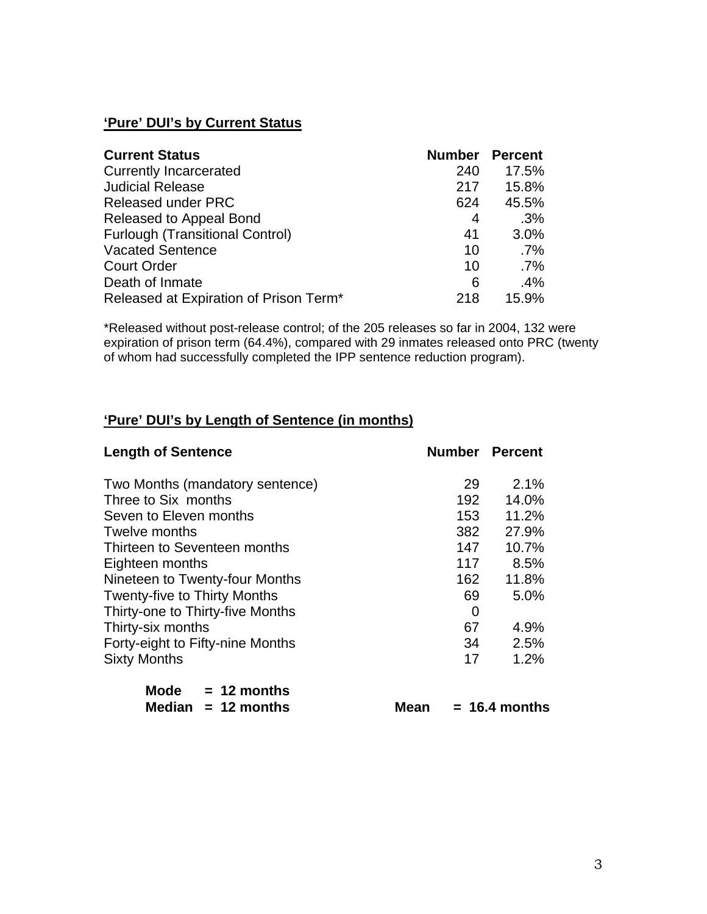## **'Pure' DUI's by Current Status**

| <b>Current Status</b>                  | <b>Number Percent</b> |        |
|----------------------------------------|-----------------------|--------|
| <b>Currently Incarcerated</b>          | 240                   | 17.5%  |
| <b>Judicial Release</b>                | 217                   | 15.8%  |
| <b>Released under PRC</b>              | 624                   | 45.5%  |
| Released to Appeal Bond                | 4                     | .3%    |
| <b>Furlough (Transitional Control)</b> | 41                    | 3.0%   |
| <b>Vacated Sentence</b>                | 10                    | $.7\%$ |
| <b>Court Order</b>                     | 10                    | $.7\%$ |
| Death of Inmate                        | 6                     | .4%    |
| Released at Expiration of Prison Term* | 218                   | 15.9%  |

\*Released without post-release control; of the 205 releases so far in 2004, 132 were expiration of prison term (64.4%), compared with 29 inmates released onto PRC (twenty of whom had successfully completed the IPP sentence reduction program).

## **'Pure' DUI's by Length of Sentence (in months)**

| <b>Length of Sentence</b>           | <b>Number Percent</b> |       |
|-------------------------------------|-----------------------|-------|
| Two Months (mandatory sentence)     | 29                    | 2.1%  |
| Three to Six months                 | 192                   | 14.0% |
| Seven to Eleven months              | 153                   | 11.2% |
| Twelve months                       | 382                   | 27.9% |
| Thirteen to Seventeen months        | 147                   | 10.7% |
| Eighteen months                     | 117                   | 8.5%  |
| Nineteen to Twenty-four Months      | 162                   | 11.8% |
| <b>Twenty-five to Thirty Months</b> | 69                    | 5.0%  |
| Thirty-one to Thirty-five Months    | 0                     |       |
| Thirty-six months                   | 67                    | 4.9%  |
| Forty-eight to Fifty-nine Months    | 34                    | 2.5%  |
| <b>Sixty Months</b>                 | 17                    | 1.2%  |
| Mode $= 12$ months                  |                       |       |

| Mode $= 12$ months   |      |                 |
|----------------------|------|-----------------|
| Median $= 12$ months | Mean | $= 16.4$ months |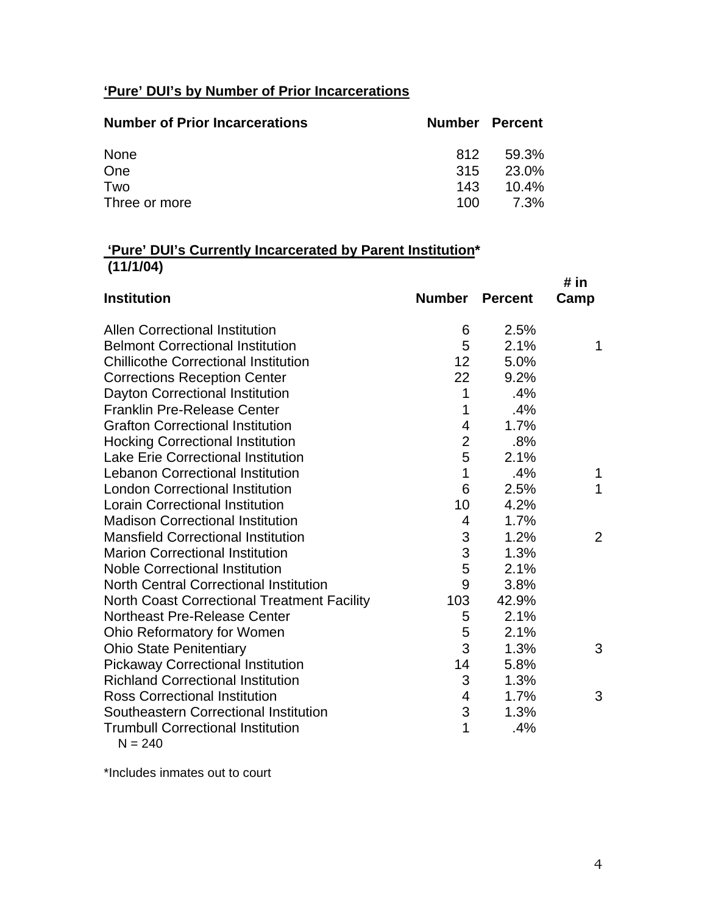# **'Pure' DUI's by Number of Prior Incarcerations**

| <b>Number of Prior Incarcerations</b> | <b>Number Percent</b> |          |
|---------------------------------------|-----------------------|----------|
| None                                  | 812                   | 59.3%    |
| One                                   | 315                   | 23.0%    |
| Two                                   | 143                   | $10.4\%$ |
| Three or more                         | 100.                  | 7.3%     |

## **'Pure' DUI's Currently Incarcerated by Parent Institution\* (11/1/04)**

|                                               |                         |                | # in           |
|-----------------------------------------------|-------------------------|----------------|----------------|
| <b>Institution</b>                            | <b>Number</b>           | <b>Percent</b> | Camp           |
| <b>Allen Correctional Institution</b>         | 6                       | 2.5%           |                |
| <b>Belmont Correctional Institution</b>       | 5                       | 2.1%           | 1              |
| <b>Chillicothe Correctional Institution</b>   | 12                      | 5.0%           |                |
| <b>Corrections Reception Center</b>           | 22                      | 9.2%           |                |
| Dayton Correctional Institution               | 1                       | .4%            |                |
| <b>Franklin Pre-Release Center</b>            | 1                       | .4%            |                |
| <b>Grafton Correctional Institution</b>       | $\overline{\mathbf{4}}$ | 1.7%           |                |
| <b>Hocking Correctional Institution</b>       | $\overline{2}$          | .8%            |                |
| <b>Lake Erie Correctional Institution</b>     | 5                       | 2.1%           |                |
| <b>Lebanon Correctional Institution</b>       | 1                       | .4%            | 1              |
| <b>London Correctional Institution</b>        | 6                       | 2.5%           | 1              |
| <b>Lorain Correctional Institution</b>        | 10                      | 4.2%           |                |
| <b>Madison Correctional Institution</b>       | 4                       | 1.7%           |                |
| <b>Mansfield Correctional Institution</b>     | 3                       | 1.2%           | $\overline{2}$ |
| <b>Marion Correctional Institution</b>        | 3                       | 1.3%           |                |
| <b>Noble Correctional Institution</b>         | 5                       | 2.1%           |                |
| <b>North Central Correctional Institution</b> | 9                       | 3.8%           |                |
| North Coast Correctional Treatment Facility   | 103                     | 42.9%          |                |
| <b>Northeast Pre-Release Center</b>           | 5                       | 2.1%           |                |
| Ohio Reformatory for Women                    | 5                       | 2.1%           |                |
| <b>Ohio State Penitentiary</b>                | 3                       | 1.3%           | 3              |
| <b>Pickaway Correctional Institution</b>      | 14                      | 5.8%           |                |
| <b>Richland Correctional Institution</b>      | 3                       | 1.3%           |                |
| <b>Ross Correctional Institution</b>          | 4                       | 1.7%           | 3              |
| Southeastern Correctional Institution         | 3                       | 1.3%           |                |
| <b>Trumbull Correctional Institution</b>      | 1                       | .4%            |                |
| $N = 240$                                     |                         |                |                |

\*Includes inmates out to court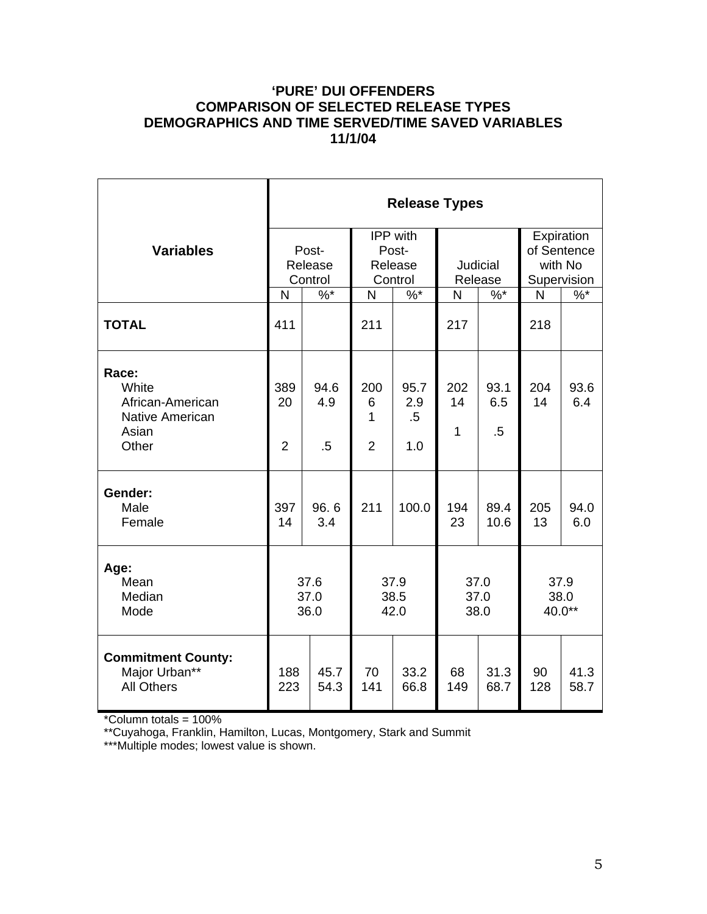### **'PURE' DUI OFFENDERS COMPARISON OF SELECTED RELEASE TYPES DEMOGRAPHICS AND TIME SERVED/TIME SAVED VARIABLES 11/1/04**

|                                                                         | <b>Release Types</b>        |                       |                                         |                          |                           |                       |                                                     |                        |  |
|-------------------------------------------------------------------------|-----------------------------|-----------------------|-----------------------------------------|--------------------------|---------------------------|-----------------------|-----------------------------------------------------|------------------------|--|
| <b>Variables</b>                                                        | Post-<br>Release<br>Control |                       | IPP with<br>Post-<br>Release<br>Control |                          | Judicial<br>Release       |                       | Expiration<br>of Sentence<br>with No<br>Supervision |                        |  |
|                                                                         | $%^*$<br>N                  |                       | $\%$ *<br>$\mathsf{N}$                  |                          | $%$ *<br>N                |                       | N                                                   | $\%$ *                 |  |
| <b>TOTAL</b>                                                            | 411                         |                       | 211                                     |                          | 217                       |                       | 218                                                 |                        |  |
| Race:<br>White<br>African-American<br>Native American<br>Asian<br>Other | 389<br>20<br>$\overline{2}$ | 94.6<br>4.9<br>$.5\,$ | 200<br>6<br>1<br>$\overline{2}$         | 95.7<br>2.9<br>.5<br>1.0 | 202<br>14<br>$\mathbf{1}$ | 93.1<br>6.5<br>$.5\,$ | 204<br>14                                           | 93.6<br>6.4            |  |
| Gender:<br>Male<br>Female                                               | 397<br>14                   | 96.6<br>3.4           | 211                                     | 100.0                    | 194<br>23                 | 89.4<br>10.6          | 205<br>13                                           | 94.0<br>6.0            |  |
| Age:<br>Mean<br>Median<br>Mode                                          | 37.6<br>37.0<br>36.0        |                       |                                         | 37.9<br>38.5<br>42.0     |                           | 37.0<br>37.0<br>38.0  |                                                     | 37.9<br>38.0<br>40.0** |  |
| <b>Commitment County:</b><br>Major Urban**<br><b>All Others</b>         | 188<br>223                  | 45.7<br>54.3          | 70<br>141                               | 33.2<br>66.8             | 68<br>149                 | 31.3<br>68.7          | 90<br>128                                           | 41.3<br>58.7           |  |

\*Column totals = 100%

\*\*Cuyahoga, Franklin, Hamilton, Lucas, Montgomery, Stark and Summit

\*\*\*Multiple modes; lowest value is shown.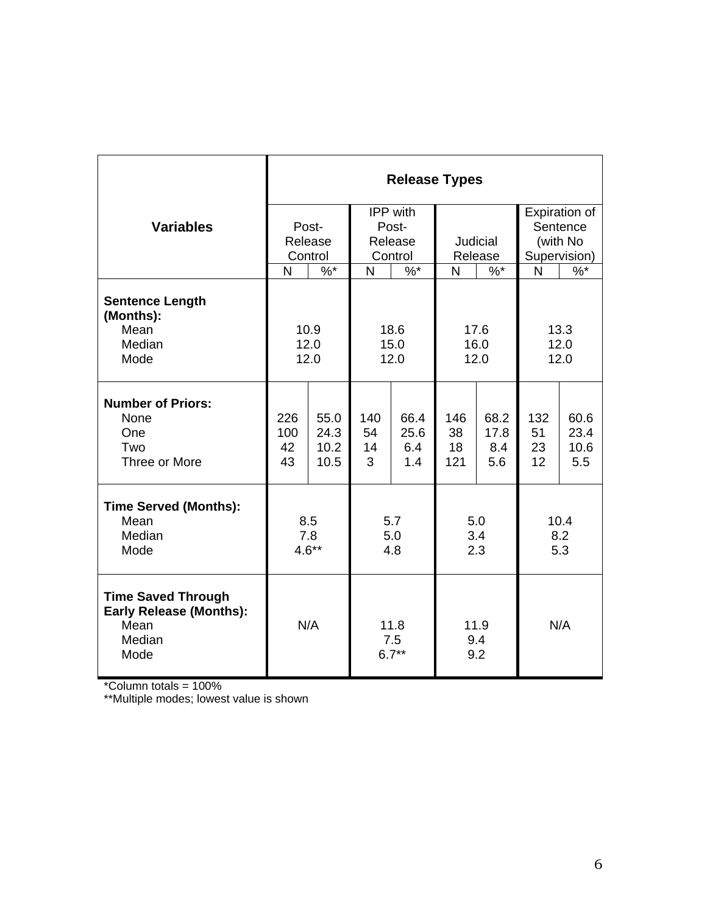|                                                                                       | <b>Release Types</b>        |                               |         |          |                    |       |              |               |  |
|---------------------------------------------------------------------------------------|-----------------------------|-------------------------------|---------|----------|--------------------|-------|--------------|---------------|--|
|                                                                                       |                             |                               |         | IPP with |                    |       |              | Expiration of |  |
| <b>Variables</b>                                                                      | Post-<br>Release<br>Control |                               | Post-   |          |                    |       | Sentence     |               |  |
|                                                                                       |                             |                               | Release |          | Judicial           |       | (with No     |               |  |
|                                                                                       |                             |                               | Control |          | Release            |       | Supervision) |               |  |
|                                                                                       | N                           | $%^*$                         | N       | $%$ *    | N                  | $%^*$ | N            | $\%$          |  |
| <b>Sentence Length</b><br>(Months):<br>Mean                                           | 10.9<br>18.6                |                               |         | 17.6     |                    | 13.3  |              |               |  |
| Median                                                                                | 12.0                        |                               | 15.0    |          | 16.0               |       | 12.0         |               |  |
| Mode                                                                                  | 12.0                        |                               | 12.0    |          | 12.0               |       | 12.0         |               |  |
| <b>Number of Priors:</b><br>None                                                      | 226                         | 55.0                          | 140     | 66.4     | 146                | 68.2  | 132          | 60.6          |  |
| One                                                                                   | 100                         | 24.3                          | 54      | 25.6     | 38                 | 17.8  | 51           | 23.4          |  |
| Two                                                                                   | 42                          | 10.2                          | 14      | 6.4      | 18                 | 8.4   | 23           | 10.6          |  |
| Three or More                                                                         | 43                          | 10.5                          | 3       | 1.4      | 121                | 5.6   | 12           | 5.5           |  |
| <b>Time Served (Months):</b>                                                          |                             |                               |         |          |                    |       |              |               |  |
| Mean                                                                                  | 8.5                         |                               | 5.7     |          | 5.0                |       | 10.4         |               |  |
| Median                                                                                | 7.8                         |                               | 5.0     |          | 3.4                |       | 8.2          |               |  |
| Mode                                                                                  |                             | $4.6**$                       | 4.8     |          | 2.3                |       | 5.3          |               |  |
| <b>Time Saved Through</b><br><b>Early Release (Months):</b><br>Mean<br>Median<br>Mode |                             | N/A<br>11.8<br>7.5<br>$6.7**$ |         |          | 11.9<br>9.4<br>9.2 |       | N/A          |               |  |

\*Column totals = 100%

\*\*Multiple modes; lowest value is shown